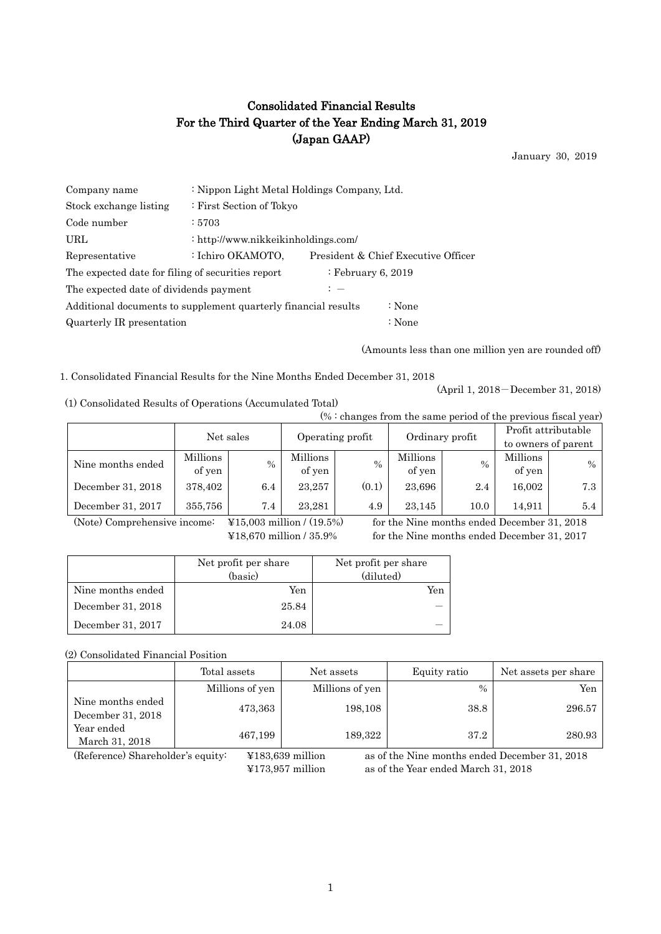# Consolidated Financial Results For the Third Quarter of the Year Ending March 31, 2019 (Japan GAAP)

January 30, 2019

| Company name                                                   | : Nippon Light Metal Holdings Company, Ltd. |                    |                                     |  |  |  |
|----------------------------------------------------------------|---------------------------------------------|--------------------|-------------------------------------|--|--|--|
| Stock exchange listing                                         | : First Section of Tokyo                    |                    |                                     |  |  |  |
| Code number                                                    | : 5703                                      |                    |                                     |  |  |  |
| URL                                                            | : http://www.nikkeikinholdings.com/         |                    |                                     |  |  |  |
| Representative                                                 | : Ichiro OKAMOTO,                           |                    | President & Chief Executive Officer |  |  |  |
| The expected date for filing of securities report              |                                             | : February 6, 2019 |                                     |  |  |  |
| The expected date of dividends payment                         | $: -$                                       |                    |                                     |  |  |  |
| Additional documents to supplement quarterly financial results |                                             | : None             |                                     |  |  |  |
| Quarterly IR presentation                                      |                                             | : None             |                                     |  |  |  |

(Amounts less than one million yen are rounded off)

1. Consolidated Financial Results for the Nine Months Ended December 31, 2018

(1) Consolidated Results of Operations (Accumulated Total)

 $(% : \text{changes from the same period of the previous fixed year})$ 

(April 1, 2018-December 31, 2018)

|                   | (70 · Changes from the same period of the previous fiscal year) |           |                    |       |                    |          |                                            |      |  |
|-------------------|-----------------------------------------------------------------|-----------|--------------------|-------|--------------------|----------|--------------------------------------------|------|--|
|                   |                                                                 | Net sales | Operating profit   |       | Ordinary profit    |          | Profit attributable<br>to owners of parent |      |  |
| Nine months ended | Millions<br>of yen                                              | $\%$      | Millions<br>of yen | $\%$  | Millions<br>of yen | $\%$     | Millions<br>of yen                         | $\%$ |  |
| December 31, 2018 | 378,402                                                         | $6.4\,$   | 23.257             | (0.1) | 23,696             | 2.4      | 16,002                                     | 7.3  |  |
| December 31, 2017 | 355,756                                                         | 7.4       | 23.281             | 4.9   | 23.145             | $10.0\,$ | 14.911                                     | 5.4  |  |

(Note) Comprehensive income: ¥15,003 million / (19.5%) for the Nine months ended December 31, 2018

¥18,670 million / 35.9% for the Nine months ended December 31, 2017

|                   | Net profit per share | Net profit per share |
|-------------------|----------------------|----------------------|
|                   | (basic)              | (diluted)            |
| Nine months ended | Yen                  | Yen                  |
| December 31, 2018 | 25.84                |                      |
| December 31, 2017 | 24.08                |                      |

### (2) Consolidated Financial Position

|                                        | Total assets    | Net assets      | Equity ratio | Net assets per share |
|----------------------------------------|-----------------|-----------------|--------------|----------------------|
|                                        | Millions of yen | Millions of yen | $\%$         | Yen                  |
| Nine months ended<br>December 31, 2018 | 473,363         | 198,108         | 38.8         | 296.57               |
| Year ended<br>March 31, 2018           | 467,199         | 189,322         | 37.2         | 280.93               |

(Reference) Shareholder's equity: ¥183,639 million as of the Nine months ended December 31, 2018 ¥173,957 million as of the Year ended March 31, 2018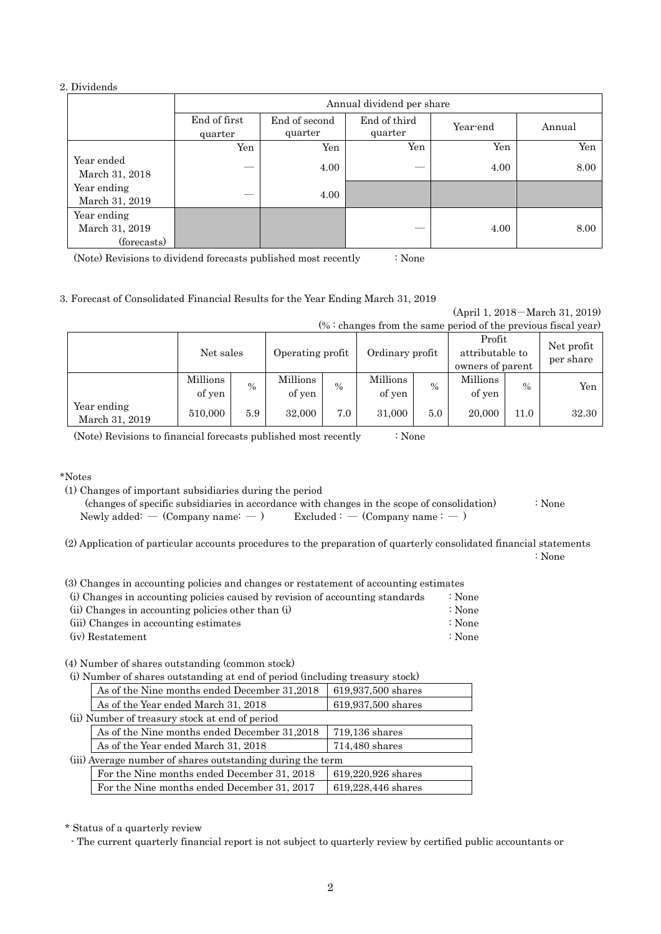#### 2. Dividends

|                                              |                         | Annual dividend per share |                         |          |        |  |  |
|----------------------------------------------|-------------------------|---------------------------|-------------------------|----------|--------|--|--|
|                                              | End of first<br>quarter | End of second<br>quarter  | End of third<br>quarter | Year-end | Annual |  |  |
|                                              | Yen                     | Yen                       | Yen                     | Yen      | Yen    |  |  |
| Year ended<br>March 31, 2018                 |                         | 4.00                      |                         | 4.00     | 8.00   |  |  |
| Year ending<br>March 31, 2019                |                         | 4.00                      |                         |          |        |  |  |
| Year ending<br>March 31, 2019<br>(forecasts) |                         |                           |                         | 4.00     | 8.00   |  |  |

(Note) Revisions to dividend forecasts published most recently : None

#### 3. Forecast of Consolidated Financial Results for the Year Ending March 31, 2019

(April 1, 2018-March 31, 2019)  $(% :$  changes from the same period of the previous fiscal year)

| $\sqrt{2}$ changes from the same period of the previous histary (car) |                    |      |                    |      |                    |      |                                               |               |                         |
|-----------------------------------------------------------------------|--------------------|------|--------------------|------|--------------------|------|-----------------------------------------------|---------------|-------------------------|
|                                                                       | Net sales          |      | Operating profit   |      | Ordinary profit    |      | Profit<br>attributable to<br>owners of parent |               | Net profit<br>per share |
|                                                                       | Millions<br>of yen | $\%$ | Millions<br>of yen | $\%$ | Millions<br>of yen | $\%$ | Millions<br>of yen                            | $\frac{0}{0}$ | Yen                     |
| Year ending<br>March 31, 2019                                         | 510,000            | 5.9  | 32,000             | 7.0  | 31,000             | 5.0  | 20,000                                        | 11.0          | 32.30                   |

(Note) Revisions to financial forecasts published most recently : None

\*Notes

(1) Changes of important subsidiaries during the period

| (changes of specific subsidiaries in accordance with changes in the scope of consolidation) | : None |
|---------------------------------------------------------------------------------------------|--------|
| $\text{Excluded}:$ $\sim$ (Company name : $\sim$ )<br>Newly added: $-$ (Company name: $-$ ) |        |

(2) Application of particular accounts procedures to the preparation of quarterly consolidated financial statements : None

| (3) Changes in accounting policies and changes or restatement of accounting estimates |                   |
|---------------------------------------------------------------------------------------|-------------------|
| (i) Changes in accounting policies caused by revision of accounting standards         | $\therefore$ None |

|                  | (ii) Changes in accounting policies other than (i) |  | $\therefore$ None |
|------------------|----------------------------------------------------|--|-------------------|
|                  | (iii) Changes in accounting estimates              |  | $\therefore$ None |
| (iv) Restatement |                                                    |  | $\therefore$ None |

(4) Number of shares outstanding (common stock)

|                                                            | (i) Number of shares outstanding at end of period (including treasury stock) |                    |  |  |  |  |
|------------------------------------------------------------|------------------------------------------------------------------------------|--------------------|--|--|--|--|
|                                                            | As of the Nine months ended December 31,2018                                 | 619,937,500 shares |  |  |  |  |
|                                                            | As of the Year ended March 31, 2018                                          | 619,937,500 shares |  |  |  |  |
|                                                            | (ii) Number of treasury stock at end of period                               |                    |  |  |  |  |
|                                                            | As of the Nine months ended December 31,2018                                 | 719,136 shares     |  |  |  |  |
|                                                            | As of the Year ended March 31, 2018                                          | 714,480 shares     |  |  |  |  |
| (iii) Average number of shares outstanding during the term |                                                                              |                    |  |  |  |  |
|                                                            | For the Nine months ended December 31, 2018                                  | 619,220,926 shares |  |  |  |  |
|                                                            | For the Nine months ended December 31, 2017                                  | 619,228,446 shares |  |  |  |  |

\* Status of a quarterly review

- The current quarterly financial report is not subject to quarterly review by certified public accountants or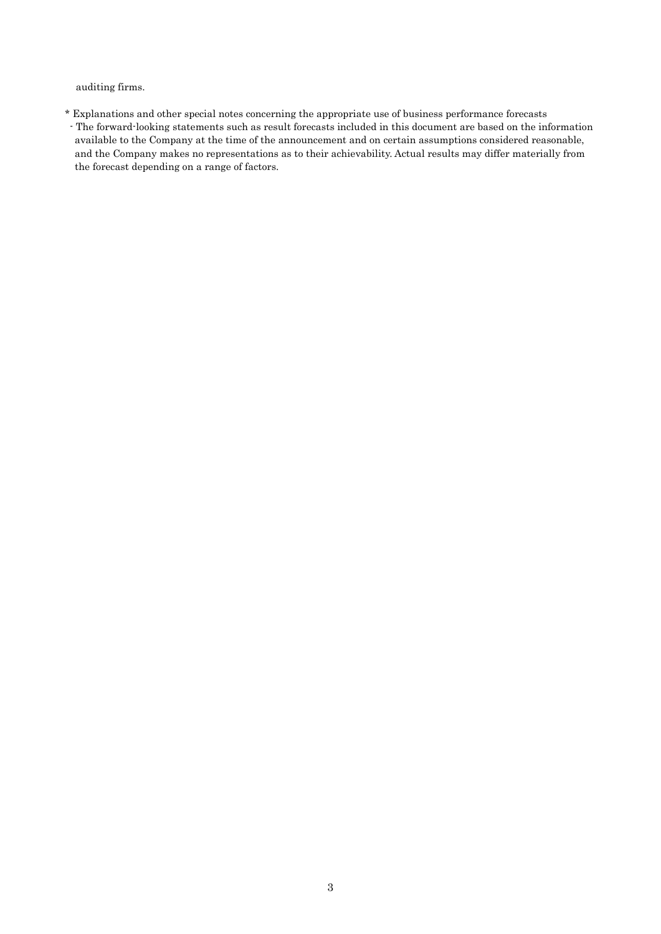auditing firms.

\* Explanations and other special notes concerning the appropriate use of business performance forecasts - The forward-looking statements such as result forecasts included in this document are based on the information available to the Company at the time of the announcement and on certain assumptions considered reasonable, and the Company makes no representations as to their achievability. Actual results may differ materially from the forecast depending on a range of factors.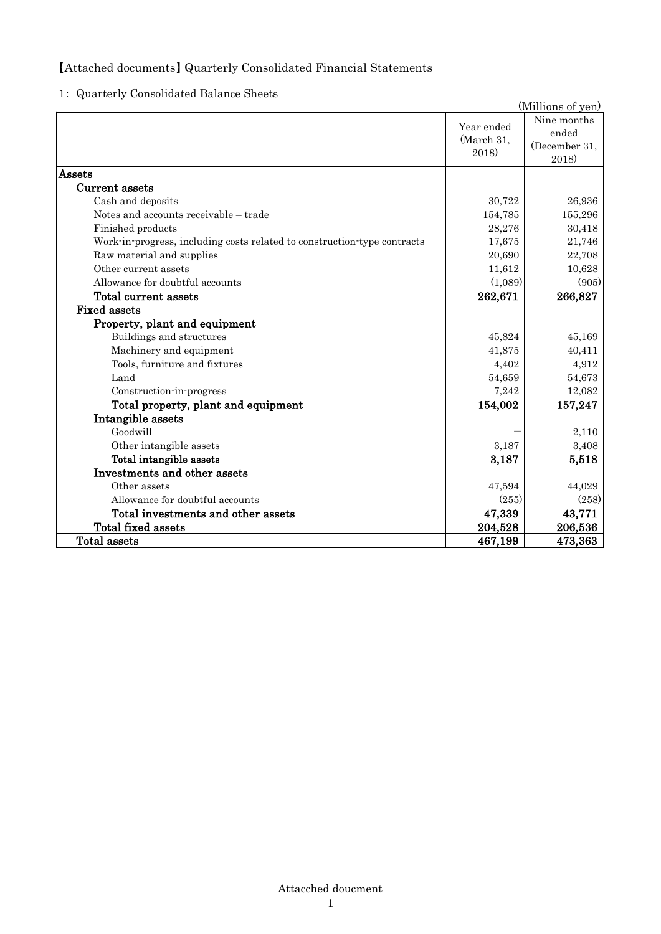## 【Attached documents】 Quarterly Consolidated Financial Statements

1: Quarterly Consolidated Balance Sheets

|                                                                          |                                   | (Millions of yen)                              |
|--------------------------------------------------------------------------|-----------------------------------|------------------------------------------------|
|                                                                          | Year ended<br>(March 31,<br>2018) | Nine months<br>ended<br>(December 31,<br>2018) |
| Assets                                                                   |                                   |                                                |
| Current assets                                                           |                                   |                                                |
| Cash and deposits                                                        | 30,722                            | 26,936                                         |
| Notes and accounts receivable - trade                                    | 154,785                           | 155,296                                        |
| Finished products                                                        | 28,276                            | 30,418                                         |
| Work-in-progress, including costs related to construction-type contracts | 17,675                            | 21,746                                         |
| Raw material and supplies                                                | 20,690                            | 22,708                                         |
| Other current assets                                                     | 11,612                            | 10,628                                         |
| Allowance for doubtful accounts                                          | (1,089)                           | (905)                                          |
| Total current assets                                                     | 262,671                           | 266,827                                        |
| <b>Fixed assets</b>                                                      |                                   |                                                |
| Property, plant and equipment                                            |                                   |                                                |
| Buildings and structures                                                 | 45,824                            | 45,169                                         |
| Machinery and equipment                                                  | 41,875                            | 40,411                                         |
| Tools, furniture and fixtures                                            | 4,402                             | 4,912                                          |
| Land                                                                     | 54,659                            | 54,673                                         |
| Construction-in-progress                                                 | 7,242                             | 12,082                                         |
| Total property, plant and equipment                                      | 154,002                           | 157,247                                        |
| Intangible assets                                                        |                                   |                                                |
| Goodwill                                                                 |                                   | 2,110                                          |
| Other intangible assets                                                  | 3,187                             | 3,408                                          |
| Total intangible assets                                                  | 3,187                             | 5,518                                          |
| Investments and other assets                                             |                                   |                                                |
| Other assets                                                             | 47,594                            | 44,029                                         |
| Allowance for doubtful accounts                                          | (255)                             | (258)                                          |
| Total investments and other assets                                       | 47,339                            | 43,771                                         |
| Total fixed assets                                                       | 204,528                           | 206,536                                        |
| <b>Total assets</b>                                                      | 467,199                           | 473,363                                        |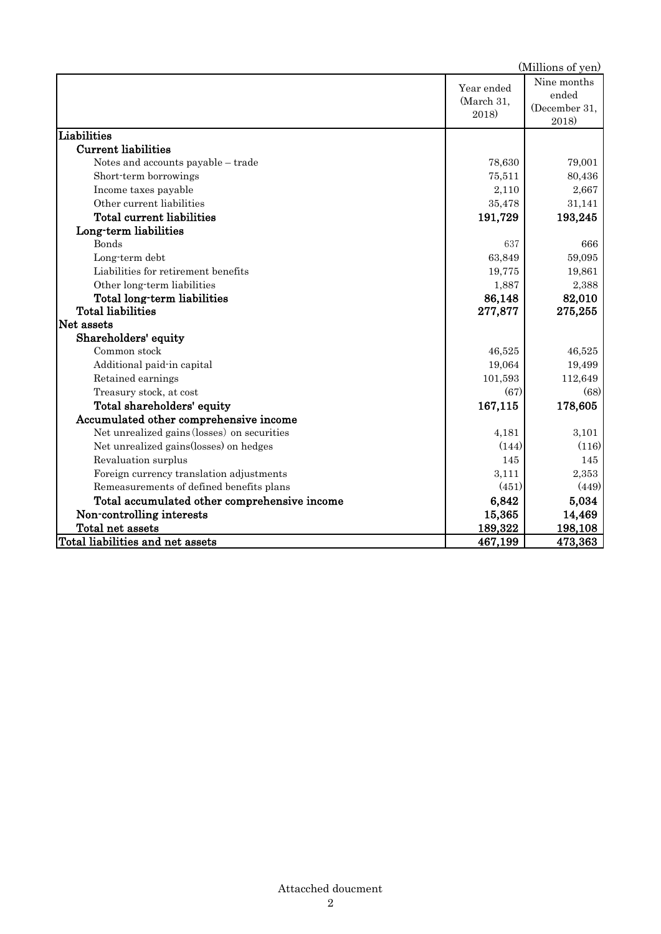|                                              |                                   | (Millions of yen)                              |
|----------------------------------------------|-----------------------------------|------------------------------------------------|
|                                              | Year ended<br>(March 31,<br>2018) | Nine months<br>ended<br>(December 31,<br>2018) |
| Liabilities                                  |                                   |                                                |
| <b>Current liabilities</b>                   |                                   |                                                |
| Notes and accounts payable - trade           | 78,630                            | 79,001                                         |
| Short-term borrowings                        | 75,511                            | 80,436                                         |
| Income taxes payable                         | 2,110                             | 2,667                                          |
| Other current liabilities                    | 35,478                            | 31,141                                         |
| Total current liabilities                    | 191,729                           | 193,245                                        |
| Long-term liabilities                        |                                   |                                                |
| <b>Bonds</b>                                 | 637                               | 666                                            |
| Long-term debt                               | 63,849                            | 59,095                                         |
| Liabilities for retirement benefits          | 19,775                            | 19,861                                         |
| Other long-term liabilities                  | 1,887                             | 2,388                                          |
| Total long-term liabilities                  | 86,148                            | 82,010                                         |
| <b>Total liabilities</b>                     | 277,877                           | 275,255                                        |
| Net assets                                   |                                   |                                                |
| Shareholders' equity                         |                                   |                                                |
| Common stock                                 | 46,525                            | 46,525                                         |
| Additional paid-in capital                   | 19,064                            | 19,499                                         |
| Retained earnings                            | 101,593                           | 112,649                                        |
| Treasury stock, at cost                      | (67)                              | (68)                                           |
| Total shareholders' equity                   | 167,115                           | 178,605                                        |
| Accumulated other comprehensive income       |                                   |                                                |
| Net unrealized gains (losses) on securities  | 4,181                             | 3,101                                          |
| Net unrealized gains(losses) on hedges       | (144)                             | (116)                                          |
| Revaluation surplus                          | 145                               | 145                                            |
| Foreign currency translation adjustments     | 3,111                             | 2,353                                          |
| Remeasurements of defined benefits plans     | (451)                             | (449)                                          |
| Total accumulated other comprehensive income | 6,842                             | 5,034                                          |
| Non-controlling interests                    | 15,365                            | 14,469                                         |
| Total net assets                             | 189,322                           | 198,108                                        |
| Total liabilities and net assets             | 467,199                           | 473,363                                        |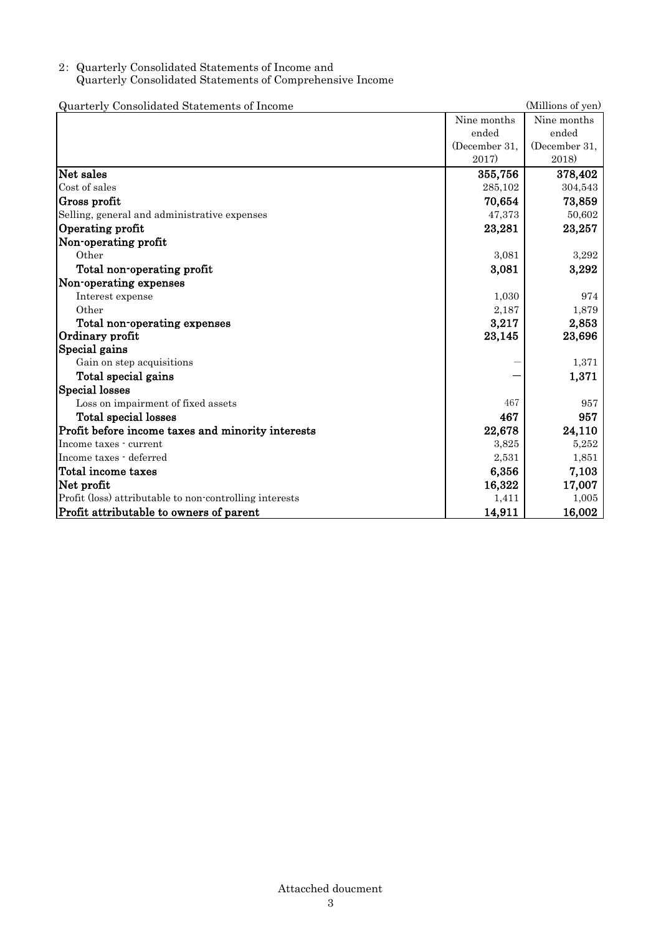## 2: Quarterly Consolidated Statements of Income and Quarterly Consolidated Statements of Comprehensive Income

Quarterly Consolidated Statements of Income (Millions of yen) Nine months ended (December 31, 2017) Nine months ended (December 31, 2018) Net sales 378,402 (1993) 378,402 (1994) 355,756 (1994) 378,402 (1994) 378,402 (1995) 378,402 (1996) 378,402 (1  $\cosh 6s$  cost of sales  $285,102$   $304,543$ Gross profit  $70,654$  73,859 Selling, general and administrative expenses  $\frac{47,373}{20,602}$ Operating profit  $23,281$   $23,257$ Non-operating profit Other 3,292 Total non-operating profit 3,081 3,292 Non-operating expenses Interest expense 374 Other 2,187 1,879 Total non-operating expenses  $3,217$   $2,853$ Ordinary profit  $23,145$   $23,696$ Special gains Gain on step acquisitions  $-$  1,371 Total special gains  $-1$ ,  $371$ Special losses Loss on impairment of fixed assets 467 957 Total special losses and the set of the set of the set of the set of the set of the set of the set of the set of the set of the set of the set of the set of the set of the set of the set of the set of the set of the set of Profit before income taxes and minority interests 22,678 24,110 Income taxes - current  $3.825$   $5.252$ Income taxes - deferred 2,531 1,851 1,851 Total income taxes 6,356 7,103 Net profit that is a set of the contract of the contract of the contract of the contract of the contract of the contract of the contract of the contract of the contract of the contract of the contract of the contract of th Profit (loss) attributable to non-controlling interests 1,411 1,005 Profit attributable to owners of parent 14,911 16,002